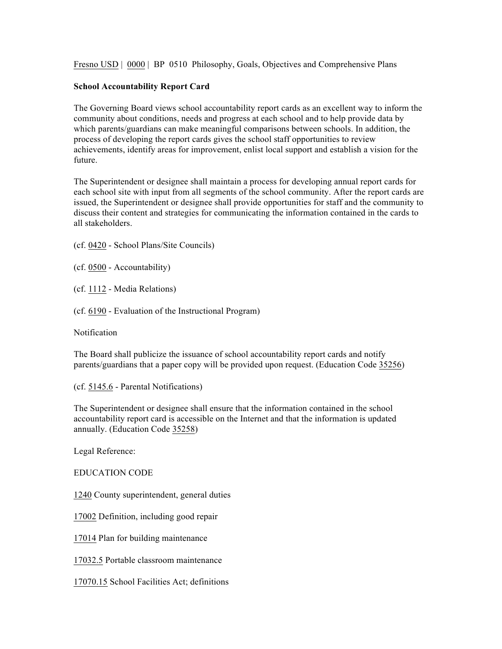Fresno USD | 0000 | BP 0510 Philosophy, Goals, Objectives and Comprehensive Plans

## **School Accountability Report Card**

The Governing Board views school accountability report cards as an excellent way to inform the community about conditions, needs and progress at each school and to help provide data by which parents/guardians can make meaningful comparisons between schools. In addition, the process of developing the report cards gives the school staff opportunities to review achievements, identify areas for improvement, enlist local support and establish a vision for the future.

The Superintendent or designee shall maintain a process for developing annual report cards for each school site with input from all segments of the school community. After the report cards are issued, the Superintendent or designee shall provide opportunities for staff and the community to discuss their content and strategies for communicating the information contained in the cards to all stakeholders.

(cf. 0420 - School Plans/Site Councils)

(cf. 0500 - Accountability)

(cf. 1112 - Media Relations)

(cf. 6190 - Evaluation of the Instructional Program)

Notification

The Board shall publicize the issuance of school accountability report cards and notify parents/guardians that a paper copy will be provided upon request. (Education Code 35256)

(cf. 5145.6 - Parental Notifications)

The Superintendent or designee shall ensure that the information contained in the school accountability report card is accessible on the Internet and that the information is updated annually. (Education Code 35258)

Legal Reference:

EDUCATION CODE

1240 County superintendent, general duties

17002 Definition, including good repair

17014 Plan for building maintenance

17032.5 Portable classroom maintenance

17070.15 School Facilities Act; definitions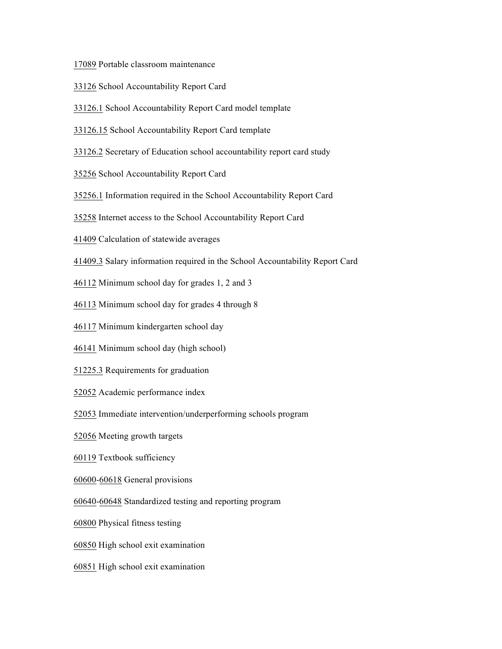Portable classroom maintenance

- School Accountability Report Card
- 33126.1 School Accountability Report Card model template
- 33126.15 School Accountability Report Card template
- 33126.2 Secretary of Education school accountability report card study
- School Accountability Report Card
- 35256.1 Information required in the School Accountability Report Card
- Internet access to the School Accountability Report Card
- Calculation of statewide averages
- 41409.3 Salary information required in the School Accountability Report Card
- Minimum school day for grades 1, 2 and 3
- Minimum school day for grades 4 through 8
- Minimum kindergarten school day
- Minimum school day (high school)
- 51225.3 Requirements for graduation
- Academic performance index
- Immediate intervention/underperforming schools program
- Meeting growth targets
- Textbook sufficiency
- 60600-60618 General provisions
- 60640-60648 Standardized testing and reporting program
- Physical fitness testing
- High school exit examination
- High school exit examination